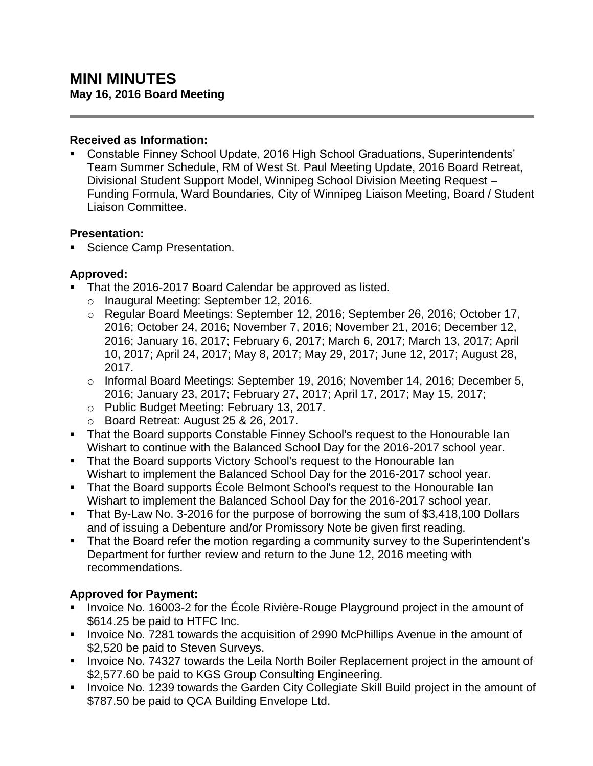#### **Received as Information:**

 Constable Finney School Update, 2016 High School Graduations, Superintendents' Team Summer Schedule, RM of West St. Paul Meeting Update, 2016 Board Retreat, Divisional Student Support Model, Winnipeg School Division Meeting Request – Funding Formula, Ward Boundaries, City of Winnipeg Liaison Meeting, Board / Student Liaison Committee.

### **Presentation:**

Science Camp Presentation.

### **Approved:**

- That the 2016-2017 Board Calendar be approved as listed.
	- o Inaugural Meeting: September 12, 2016.
	- o Regular Board Meetings: September 12, 2016; September 26, 2016; October 17, 2016; October 24, 2016; November 7, 2016; November 21, 2016; December 12, 2016; January 16, 2017; February 6, 2017; March 6, 2017; March 13, 2017; April 10, 2017; April 24, 2017; May 8, 2017; May 29, 2017; June 12, 2017; August 28, 2017.
	- $\circ$  Informal Board Meetings: September 19, 2016; November 14, 2016; December 5, 2016; January 23, 2017; February 27, 2017; April 17, 2017; May 15, 2017;
	- o Public Budget Meeting: February 13, 2017.
	- o Board Retreat: August 25 & 26, 2017.
- That the Board supports Constable Finney School's request to the Honourable Ian Wishart to continue with the Balanced School Day for the 2016-2017 school year.
- That the Board supports Victory School's request to the Honourable Ian Wishart to implement the Balanced School Day for the 2016-2017 school year.
- That the Board supports Ecole Belmont School's request to the Honourable Ian Wishart to implement the Balanced School Day for the 2016-2017 school year.
- That By-Law No. 3-2016 for the purpose of borrowing the sum of \$3,418,100 Dollars and of issuing a Debenture and/or Promissory Note be given first reading.
- That the Board refer the motion regarding a community survey to the Superintendent's Department for further review and return to the June 12, 2016 meeting with recommendations.

# **Approved for Payment:**

- Invoice No. 16003-2 for the École Rivière-Rouge Playground project in the amount of \$614.25 be paid to HTFC Inc.
- **IDED** 10.7281 towards the acquisition of 2990 McPhillips Avenue in the amount of \$2,520 be paid to Steven Surveys.
- **Invoice No. 74327 towards the Leila North Boiler Replacement project in the amount of** \$2,577.60 be paid to KGS Group Consulting Engineering.
- **Invoice No. 1239 towards the Garden City Collegiate Skill Build project in the amount of** \$787.50 be paid to QCA Building Envelope Ltd.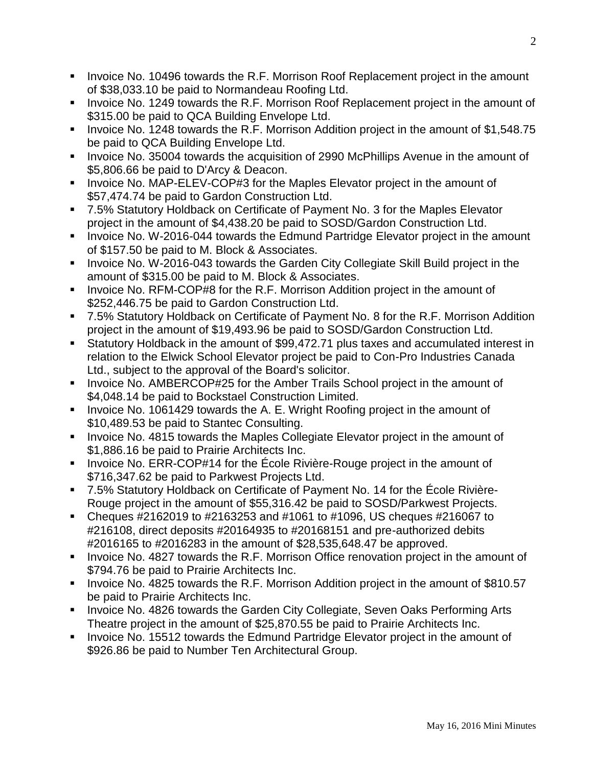- Invoice No. 10496 towards the R.F. Morrison Roof Replacement project in the amount of \$38,033.10 be paid to Normandeau Roofing Ltd.
- **IDED** Invoice No. 1249 towards the R.F. Morrison Roof Replacement project in the amount of \$315.00 be paid to QCA Building Envelope Ltd.
- Invoice No. 1248 towards the R.F. Morrison Addition project in the amount of \$1,548.75 be paid to QCA Building Envelope Ltd.
- **IDED** 10.35004 towards the acquisition of 2990 McPhillips Avenue in the amount of \$5,806.66 be paid to D'Arcy & Deacon.
- **Invoice No. MAP-ELEV-COP#3 for the Maples Elevator project in the amount of** \$57,474.74 be paid to Gardon Construction Ltd.
- 7.5% Statutory Holdback on Certificate of Payment No. 3 for the Maples Elevator project in the amount of \$4,438.20 be paid to SOSD/Gardon Construction Ltd.
- **IDED** Invoice No. W-2016-044 towards the Edmund Partridge Elevator project in the amount of \$157.50 be paid to M. Block & Associates.
- **Invoice No. W-2016-043 towards the Garden City Collegiate Skill Build project in the** amount of \$315.00 be paid to M. Block & Associates.
- **IDED** Invoice No. RFM-COP#8 for the R.F. Morrison Addition project in the amount of \$252,446.75 be paid to Gardon Construction Ltd.
- 7.5% Statutory Holdback on Certificate of Payment No. 8 for the R.F. Morrison Addition project in the amount of \$19,493.96 be paid to SOSD/Gardon Construction Ltd.
- Statutory Holdback in the amount of \$99,472.71 plus taxes and accumulated interest in relation to the Elwick School Elevator project be paid to Con-Pro Industries Canada Ltd., subject to the approval of the Board's solicitor.
- **Invoice No. AMBERCOP#25 for the Amber Trails School project in the amount of** \$4,048.14 be paid to Bockstael Construction Limited.
- Invoice No. 1061429 towards the A. E. Wright Roofing project in the amount of \$10,489.53 be paid to Stantec Consulting.
- **Invoice No. 4815 towards the Maples Collegiate Elevator project in the amount of** \$1,886.16 be paid to Prairie Architects Inc.
- Invoice No. ERR-COP#14 for the École Rivière-Rouge project in the amount of \$716,347.62 be paid to Parkwest Projects Ltd.
- 7.5% Statutory Holdback on Certificate of Payment No. 14 for the École Rivière-Rouge project in the amount of \$55,316.42 be paid to SOSD/Parkwest Projects.
- Cheques  $\#2162019$  to  $\#2163253$  and  $\#1061$  to  $\#1096$ , US cheques  $\#216067$  to #216108, direct deposits #20164935 to #20168151 and pre-authorized debits #2016165 to #2016283 in the amount of \$28,535,648.47 be approved.
- Invoice No. 4827 towards the R.F. Morrison Office renovation project in the amount of \$794.76 be paid to Prairie Architects Inc.
- Invoice No. 4825 towards the R.F. Morrison Addition project in the amount of \$810.57 be paid to Prairie Architects Inc.
- **Invoice No. 4826 towards the Garden City Collegiate, Seven Oaks Performing Arts** Theatre project in the amount of \$25,870.55 be paid to Prairie Architects Inc.
- **Invoice No. 15512 towards the Edmund Partridge Elevator project in the amount of** \$926.86 be paid to Number Ten Architectural Group.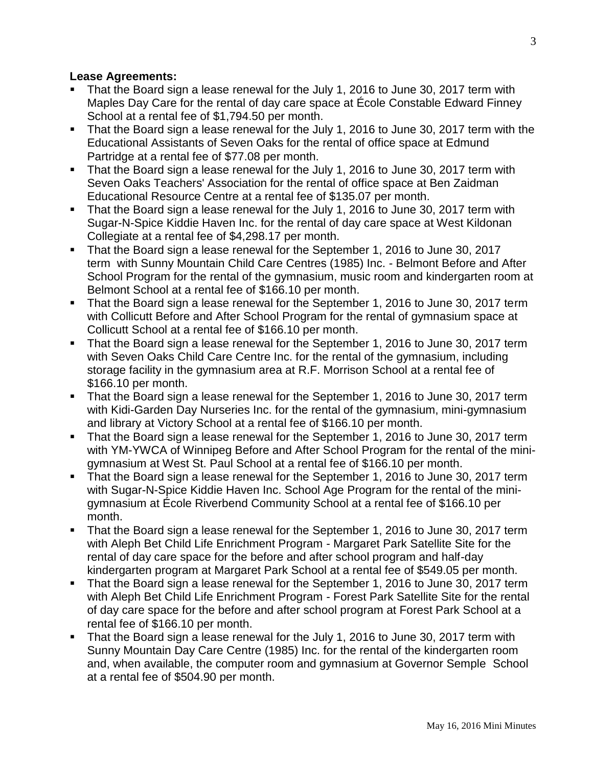#### **Lease Agreements:**

- That the Board sign a lease renewal for the July 1, 2016 to June 30, 2017 term with Maples Day Care for the rental of day care space at École Constable Edward Finney School at a rental fee of \$1,794.50 per month.
- That the Board sign a lease renewal for the July 1, 2016 to June 30, 2017 term with the Educational Assistants of Seven Oaks for the rental of office space at Edmund Partridge at a rental fee of \$77.08 per month.
- That the Board sign a lease renewal for the July 1, 2016 to June 30, 2017 term with Seven Oaks Teachers' Association for the rental of office space at Ben Zaidman Educational Resource Centre at a rental fee of \$135.07 per month.
- That the Board sign a lease renewal for the July 1, 2016 to June 30, 2017 term with Sugar-N-Spice Kiddie Haven Inc. for the rental of day care space at West Kildonan Collegiate at a rental fee of \$4,298.17 per month.
- That the Board sign a lease renewal for the September 1, 2016 to June 30, 2017 term with Sunny Mountain Child Care Centres (1985) Inc. - Belmont Before and After School Program for the rental of the gymnasium, music room and kindergarten room at Belmont School at a rental fee of \$166.10 per month.
- That the Board sign a lease renewal for the September 1, 2016 to June 30, 2017 term with Collicutt Before and After School Program for the rental of gymnasium space at Collicutt School at a rental fee of \$166.10 per month.
- That the Board sign a lease renewal for the September 1, 2016 to June 30, 2017 term with Seven Oaks Child Care Centre Inc. for the rental of the gymnasium, including storage facility in the gymnasium area at R.F. Morrison School at a rental fee of \$166.10 per month.
- That the Board sign a lease renewal for the September 1, 2016 to June 30, 2017 term with Kidi-Garden Day Nurseries Inc. for the rental of the gymnasium, mini-gymnasium and library at Victory School at a rental fee of \$166.10 per month.
- That the Board sign a lease renewal for the September 1, 2016 to June 30, 2017 term with YM-YWCA of Winnipeg Before and After School Program for the rental of the minigymnasium at West St. Paul School at a rental fee of \$166.10 per month.
- That the Board sign a lease renewal for the September 1, 2016 to June 30, 2017 term with Sugar-N-Spice Kiddie Haven Inc. School Age Program for the rental of the minigymnasium at École Riverbend Community School at a rental fee of \$166.10 per month.
- That the Board sign a lease renewal for the September 1, 2016 to June 30, 2017 term with Aleph Bet Child Life Enrichment Program - Margaret Park Satellite Site for the rental of day care space for the before and after school program and half-day kindergarten program at Margaret Park School at a rental fee of \$549.05 per month.
- That the Board sign a lease renewal for the September 1, 2016 to June 30, 2017 term with Aleph Bet Child Life Enrichment Program - Forest Park Satellite Site for the rental of day care space for the before and after school program at Forest Park School at a rental fee of \$166.10 per month.
- That the Board sign a lease renewal for the July 1, 2016 to June 30, 2017 term with Sunny Mountain Day Care Centre (1985) Inc. for the rental of the kindergarten room and, when available, the computer room and gymnasium at Governor Semple School at a rental fee of \$504.90 per month.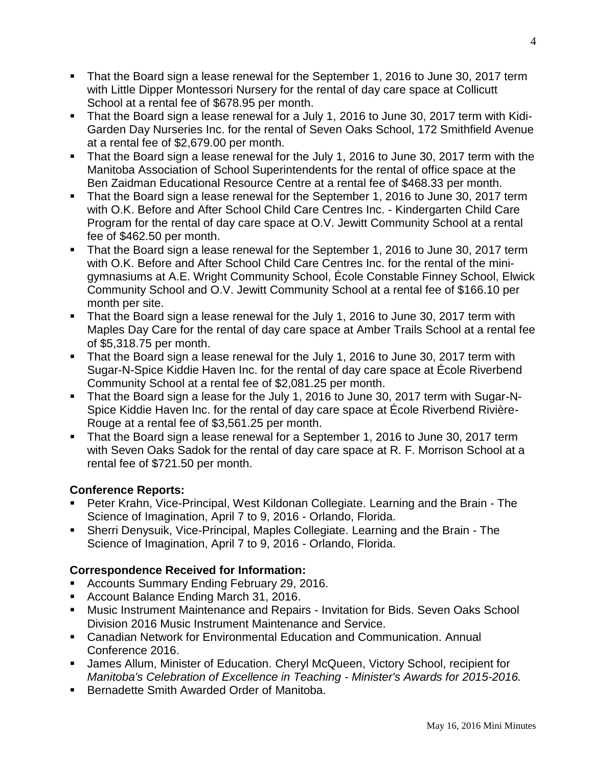- That the Board sign a lease renewal for the September 1, 2016 to June 30, 2017 term with Little Dipper Montessori Nursery for the rental of day care space at Collicutt School at a rental fee of \$678.95 per month.
- That the Board sign a lease renewal for a July 1, 2016 to June 30, 2017 term with Kidi-Garden Day Nurseries Inc. for the rental of Seven Oaks School, 172 Smithfield Avenue at a rental fee of \$2,679.00 per month.
- That the Board sign a lease renewal for the July 1, 2016 to June 30, 2017 term with the Manitoba Association of School Superintendents for the rental of office space at the Ben Zaidman Educational Resource Centre at a rental fee of \$468.33 per month.
- That the Board sign a lease renewal for the September 1, 2016 to June 30, 2017 term with O.K. Before and After School Child Care Centres Inc. - Kindergarten Child Care Program for the rental of day care space at O.V. Jewitt Community School at a rental fee of \$462.50 per month.
- That the Board sign a lease renewal for the September 1, 2016 to June 30, 2017 term with O.K. Before and After School Child Care Centres Inc. for the rental of the minigymnasiums at A.E. Wright Community School, École Constable Finney School, Elwick Community School and O.V. Jewitt Community School at a rental fee of \$166.10 per month per site.
- That the Board sign a lease renewal for the July 1, 2016 to June 30, 2017 term with Maples Day Care for the rental of day care space at Amber Trails School at a rental fee of \$5,318.75 per month.
- That the Board sign a lease renewal for the July 1, 2016 to June 30, 2017 term with Sugar-N-Spice Kiddie Haven Inc. for the rental of day care space at École Riverbend Community School at a rental fee of \$2,081.25 per month.
- That the Board sign a lease for the July 1, 2016 to June 30, 2017 term with Sugar-N-Spice Kiddie Haven Inc. for the rental of day care space at École Riverbend Rivière-Rouge at a rental fee of \$3,561.25 per month.
- That the Board sign a lease renewal for a September 1, 2016 to June 30, 2017 term with Seven Oaks Sadok for the rental of day care space at R. F. Morrison School at a rental fee of \$721.50 per month.

# **Conference Reports:**

- Peter Krahn, Vice-Principal, West Kildonan Collegiate. Learning and the Brain The Science of Imagination, April 7 to 9, 2016 - Orlando, Florida.
- Sherri Denysuik, Vice-Principal, Maples Collegiate. Learning and the Brain The Science of Imagination, April 7 to 9, 2016 - Orlando, Florida.

# **Correspondence Received for Information:**

- **Accounts Summary Ending February 29, 2016.**
- **Account Balance Ending March 31, 2016.**
- **Music Instrument Maintenance and Repairs Invitation for Bids. Seven Oaks School** Division 2016 Music Instrument Maintenance and Service.
- Canadian Network for Environmental Education and Communication. Annual Conference 2016.
- James Allum, Minister of Education. Cheryl McQueen, Victory School, recipient for *Manitoba's Celebration of Excellence in Teaching - Minister's Awards for 2015-2016.*
- **Bernadette Smith Awarded Order of Manitoba.**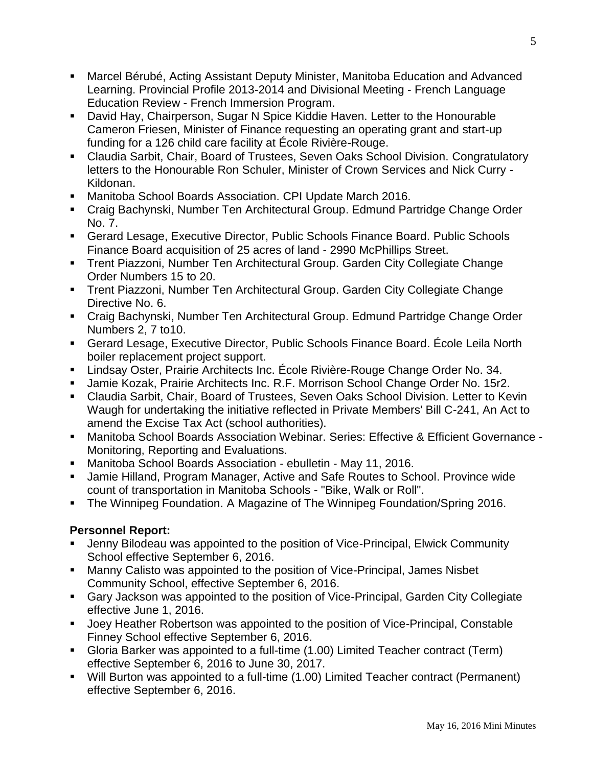- Marcel Bérubé, Acting Assistant Deputy Minister, Manitoba Education and Advanced Learning. Provincial Profile 2013-2014 and Divisional Meeting - French Language Education Review - French Immersion Program.
- David Hay, Chairperson, Sugar N Spice Kiddie Haven. Letter to the Honourable Cameron Friesen, Minister of Finance requesting an operating grant and start-up funding for a 126 child care facility at École Rivière-Rouge.
- Claudia Sarbit, Chair, Board of Trustees, Seven Oaks School Division. Congratulatory letters to the Honourable Ron Schuler, Minister of Crown Services and Nick Curry - Kildonan.
- Manitoba School Boards Association. CPI Update March 2016.
- Craig Bachynski, Number Ten Architectural Group. Edmund Partridge Change Order No. 7.
- Gerard Lesage, Executive Director, Public Schools Finance Board. Public Schools Finance Board acquisition of 25 acres of land - 2990 McPhillips Street.
- Trent Piazzoni, Number Ten Architectural Group. Garden City Collegiate Change Order Numbers 15 to 20.
- Trent Piazzoni, Number Ten Architectural Group. Garden City Collegiate Change Directive No. 6.
- Craig Bachynski, Number Ten Architectural Group. Edmund Partridge Change Order Numbers 2, 7 to10.
- Gerard Lesage, Executive Director, Public Schools Finance Board. École Leila North boiler replacement project support.
- Lindsay Oster, Prairie Architects Inc. École Rivière-Rouge Change Order No. 34.
- Jamie Kozak, Prairie Architects Inc. R.F. Morrison School Change Order No. 15r2.
- Claudia Sarbit, Chair, Board of Trustees, Seven Oaks School Division. Letter to Kevin Waugh for undertaking the initiative reflected in Private Members' Bill C-241, An Act to amend the Excise Tax Act (school authorities).
- Manitoba School Boards Association Webinar. Series: Effective & Efficient Governance Monitoring, Reporting and Evaluations.
- Manitoba School Boards Association ebulletin May 11, 2016.
- Jamie Hilland, Program Manager, Active and Safe Routes to School. Province wide count of transportation in Manitoba Schools - "Bike, Walk or Roll".
- **The Winnipeg Foundation. A Magazine of The Winnipeg Foundation/Spring 2016.**

# **Personnel Report:**

- Jenny Bilodeau was appointed to the position of Vice-Principal, Elwick Community School effective September 6, 2016.
- Manny Calisto was appointed to the position of Vice-Principal, James Nisbet Community School, effective September 6, 2016.
- Gary Jackson was appointed to the position of Vice-Principal, Garden City Collegiate effective June 1, 2016.
- Joey Heather Robertson was appointed to the position of Vice-Principal, Constable Finney School effective September 6, 2016.
- Gloria Barker was appointed to a full-time (1.00) Limited Teacher contract (Term) effective September 6, 2016 to June 30, 2017.
- Will Burton was appointed to a full-time (1.00) Limited Teacher contract (Permanent) effective September 6, 2016.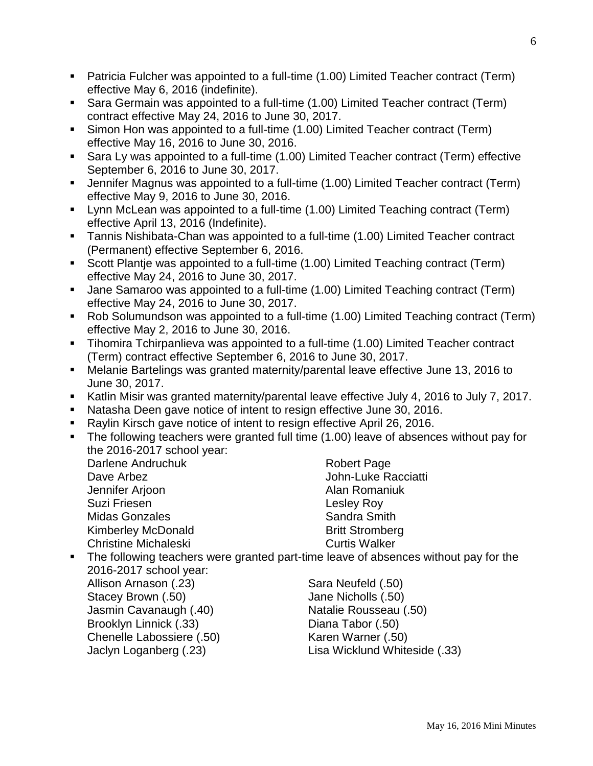- Patricia Fulcher was appointed to a full-time (1.00) Limited Teacher contract (Term) effective May 6, 2016 (indefinite).
- Sara Germain was appointed to a full-time (1.00) Limited Teacher contract (Term) contract effective May 24, 2016 to June 30, 2017.
- Simon Hon was appointed to a full-time (1.00) Limited Teacher contract (Term) effective May 16, 2016 to June 30, 2016.
- Sara Ly was appointed to a full-time (1.00) Limited Teacher contract (Term) effective September 6, 2016 to June 30, 2017.
- Jennifer Magnus was appointed to a full-time (1.00) Limited Teacher contract (Term) effective May 9, 2016 to June 30, 2016.
- Lynn McLean was appointed to a full-time (1.00) Limited Teaching contract (Term) effective April 13, 2016 (Indefinite).
- Tannis Nishibata-Chan was appointed to a full-time (1.00) Limited Teacher contract (Permanent) effective September 6, 2016.
- Scott Plantje was appointed to a full-time (1.00) Limited Teaching contract (Term) effective May 24, 2016 to June 30, 2017.
- Jane Samaroo was appointed to a full-time (1.00) Limited Teaching contract (Term) effective May 24, 2016 to June 30, 2017.
- Rob Solumundson was appointed to a full-time (1.00) Limited Teaching contract (Term) effective May 2, 2016 to June 30, 2016.
- Tihomira Tchirpanlieva was appointed to a full-time (1.00) Limited Teacher contract (Term) contract effective September 6, 2016 to June 30, 2017.
- Melanie Bartelings was granted maternity/parental leave effective June 13, 2016 to June 30, 2017.
- Katlin Misir was granted maternity/parental leave effective July 4, 2016 to July 7, 2017.
- Natasha Deen gave notice of intent to resign effective June 30, 2016.
- Raylin Kirsch gave notice of intent to resign effective April 26, 2016.
- The following teachers were granted full time (1.00) leave of absences without pay for the 2016-2017 school year:

Darlene Andruchuk Dave Arbez Jennifer Arjoon Suzi Friesen Midas Gonzales Kimberley McDonald Christine Michaleski

Robert Page John-Luke Racciatti Alan Romaniuk Lesley Roy Sandra Smith Britt Stromberg Curtis Walker

 The following teachers were granted part-time leave of absences without pay for the 2016-2017 school year:

Allison Arnason (.23) Stacey Brown (.50) Jasmin Cavanaugh (.40) Brooklyn Linnick (.33) Chenelle Labossiere (.50) Jaclyn Loganberg (.23)

Sara Neufeld (.50) Jane Nicholls (.50) Natalie Rousseau (.50) Diana Tabor (.50) Karen Warner (.50) Lisa Wicklund Whiteside (.33)